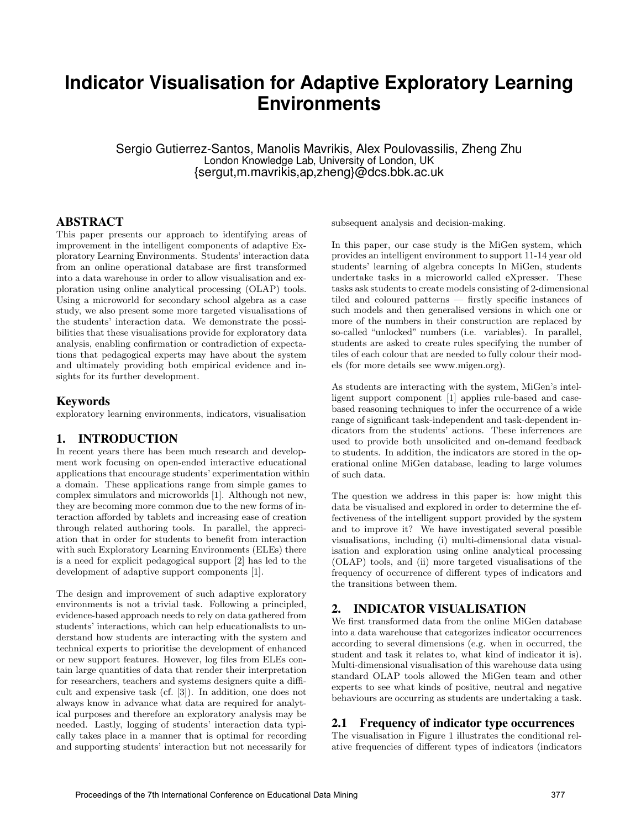# **Indicator Visualisation for Adaptive Exploratory Learning Environments**

Sergio Gutierrez-Santos, Manolis Mavrikis, Alex Poulovassilis, Zheng Zhu London Knowledge Lab, University of London, UK {sergut,m.mavrikis,ap,zheng}@dcs.bbk.ac.uk

## ABSTRACT

This paper presents our approach to identifying areas of improvement in the intelligent components of adaptive Exploratory Learning Environments. Students' interaction data from an online operational database are first transformed into a data warehouse in order to allow visualisation and exploration using online analytical processing (OLAP) tools. Using a microworld for secondary school algebra as a case study, we also present some more targeted visualisations of the students' interaction data. We demonstrate the possibilities that these visualisations provide for exploratory data analysis, enabling confirmation or contradiction of expectations that pedagogical experts may have about the system and ultimately providing both empirical evidence and insights for its further development.

## Keywords

exploratory learning environments, indicators, visualisation

# 1. INTRODUCTION

In recent years there has been much research and development work focusing on open-ended interactive educational applications that encourage students' experimentation within a domain. These applications range from simple games to complex simulators and microworlds [1]. Although not new, they are becoming more common due to the new forms of interaction afforded by tablets and increasing ease of creation through related authoring tools. In parallel, the appreciation that in order for students to benefit from interaction with such Exploratory Learning Environments (ELEs) there is a need for explicit pedagogical support [2] has led to the development of adaptive support components [1].

The design and improvement of such adaptive exploratory environments is not a trivial task. Following a principled, evidence-based approach needs to rely on data gathered from students' interactions, which can help educationalists to understand how students are interacting with the system and technical experts to prioritise the development of enhanced or new support features. However, log files from ELEs contain large quantities of data that render their interpretation for researchers, teachers and systems designers quite a difficult and expensive task (cf. [3]). In addition, one does not always know in advance what data are required for analytical purposes and therefore an exploratory analysis may be needed. Lastly, logging of students' interaction data typically takes place in a manner that is optimal for recording and supporting students' interaction but not necessarily for subsequent analysis and decision-making.

In this paper, our case study is the MiGen system, which provides an intelligent environment to support 11-14 year old students' learning of algebra concepts In MiGen, students undertake tasks in a microworld called eXpresser. These tasks ask students to create models consisting of 2-dimensional tiled and coloured patterns — firstly specific instances of such models and then generalised versions in which one or more of the numbers in their construction are replaced by so-called "unlocked" numbers (i.e. variables). In parallel, students are asked to create rules specifying the number of tiles of each colour that are needed to fully colour their models (for more details see www.migen.org).

As students are interacting with the system, MiGen's intelligent support component [1] applies rule-based and casebased reasoning techniques to infer the occurrence of a wide range of significant task-independent and task-dependent indicators from the students' actions. These inferrences are used to provide both unsolicited and on-demand feedback to students. In addition, the indicators are stored in the operational online MiGen database, leading to large volumes of such data.

The question we address in this paper is: how might this data be visualised and explored in order to determine the effectiveness of the intelligent support provided by the system and to improve it? We have investigated several possible visualisations, including (i) multi-dimensional data visualisation and exploration using online analytical processing (OLAP) tools, and (ii) more targeted visualisations of the frequency of occurrence of different types of indicators and the transitions between them.

# 2. INDICATOR VISUALISATION

We first transformed data from the online MiGen database into a data warehouse that categorizes indicator occurrences according to several dimensions (e.g. when in occurred, the student and task it relates to, what kind of indicator it is). Multi-dimensional visualisation of this warehouse data using standard OLAP tools allowed the MiGen team and other experts to see what kinds of positive, neutral and negative behaviours are occurring as students are undertaking a task.

### 2.1 Frequency of indicator type occurrences

The visualisation in Figure 1 illustrates the conditional relative frequencies of different types of indicators (indicators